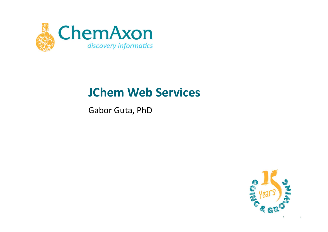

# **JChem Web Services**

Gabor Guta, PhD

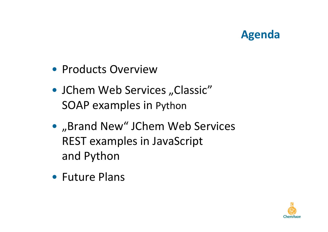## **Agenda**

- Products Overview
- JChem Web Services "Classic" SOAP examples in Python
- "Brand New" JChem Web Services REST examples in JavaScriptand Python
- Future Plans

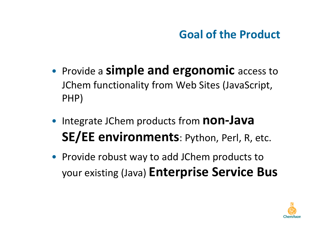# **Goal of the Product**

- • Provide a **simple and ergonomic** access to JChem functionality from Web Sites (JavaScript, PHP)
- •**• Integrate JChem products from non-Java SE/EE environments**: Python, Perl, R, etc.
- Provide robust way to add JChem products to your existing (Java) **Enterprise Service Bus**

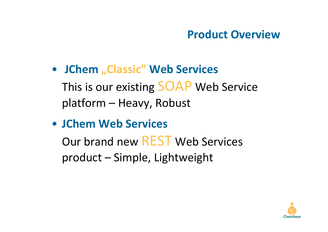#### **Product Overview**

- **JChem "Classic" Web Services** This is our existing SOAP Web Service platform – Heavy, Robust
- **JChem Web Services**

Our brand new REST Web Services product – Simple, Lightweight

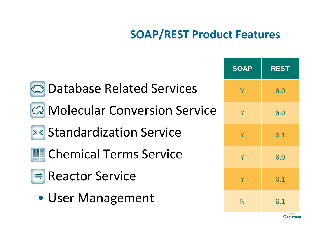# **SOAP/REST Product Features**

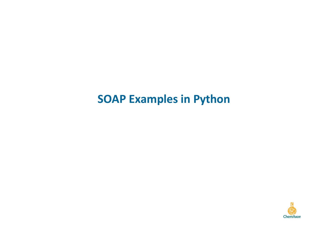## **SOAP Examples in Python**

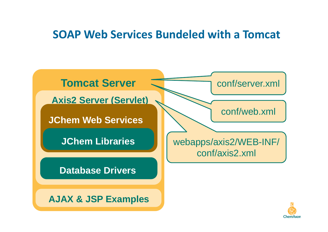#### **SOAP Web Services Bundeled with a Tomcat**



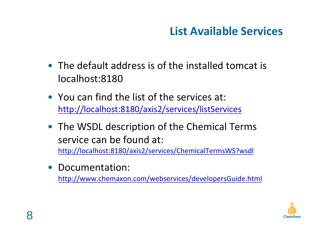# **List Available Services**

- The default address is of the installed tomcat is localhost:8180
- You can find the list of the services at: http://localhost:8180/axis2/services/listServices
- The WSDL description of the Chemical Terms service can be found at: http://localhost:8180/axis2/services/ChemicalTermsWS?wsdl
- Documentation:

http://www.chemaxon.com/webservices/developersGuide.html

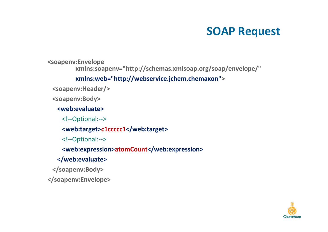## **SOAP Request**

**<soapenv:Envelope**

**xmlns:soapenv="http://schemas.xmlsoap.org/soap/envelope/"** 

#### **xmlns:web="http://webservice.jchem.chemaxon">**

**<soapenv:Header/>**

**<soapenv:Body>**

**<web:evaluate>**

<!--Optional:-->

**<web:target>c1ccccc1</web:target>**

<!--Optional:-->

**<web:expression>atomCount</web:expression>**

#### **</web:evaluate>**

**</soapenv:Body>**

**</soapenv:Envelope>**

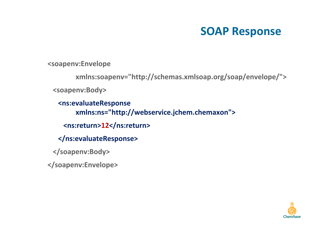#### **SOAP Response**

**<soapenv:Envelope**

**xmlns:soapenv="http://schemas.xmlsoap.org/soap/envelope/">**

**<soapenv:Body>**

**<ns:evaluateResponse xmlns:ns="http://webservice.jchem.chemaxon"><ns:return>12</ns:return>**

**</ns:evaluateResponse>**

**</soapenv:Body>**

**</soapenv:Envelope>**

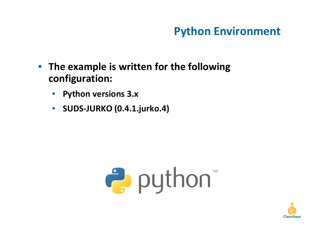# **Python Environment**

- $\bullet$  **The example is written for the following configuration:**
	- •**Python versions 3.x**
	- $\bullet$ **SUDS-JURKO (0.4.1.jurko.4)**



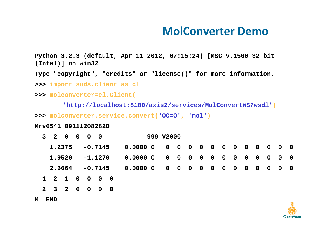#### **MolConverter Demo**

**Python 3.2.3 (default, Apr 11 2012, 07:15:24) [MSC v.1500 32 bit (Intel)] on win32**

**Type "copyright", "credits" or "license()" for more information.**

**>>> import suds.client as cl**

**>>> molconverter=cl.Client(**

**'http://localhost:8180/axis2/services/MolConvertWS?wsdl')**

**>>> molconverter.service.convert('OC=O', 'mol')**

**Mrv0541 09111208282D** 

| 3 2 0 0 0 0                                   |  |  |           |  | 999 V2000                                  |  |  |  |  |  |  |  |  |  |
|-----------------------------------------------|--|--|-----------|--|--------------------------------------------|--|--|--|--|--|--|--|--|--|
| 1.2375                                        |  |  |           |  | $-0.7145$ 0.0000 0 0 0 0 0 0 0 0 0 0 0 0 0 |  |  |  |  |  |  |  |  |  |
| 1.9520                                        |  |  | $-1.1270$ |  |                                            |  |  |  |  |  |  |  |  |  |
| 2.6664 -0.7145 0.0000 0 0 0 0 0 0 0 0 0 0 0 0 |  |  |           |  |                                            |  |  |  |  |  |  |  |  |  |
| 1 2 1 0 0 0 0                                 |  |  |           |  |                                            |  |  |  |  |  |  |  |  |  |
| 2 3 2 0 0 0 0                                 |  |  |           |  |                                            |  |  |  |  |  |  |  |  |  |



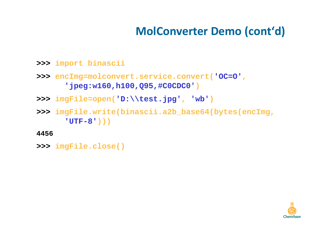# **MolConverter Demo (cont'd)**

- **>>> import binascii**
- **>>> encImg=molconvert.service.convert('OC=O', 'jpeg:w160,h100,Q95,#C0CDC0')**
- **>>> imgFile=open('D:\\test.jpg', 'wb')**
- **>>> imgFile.write(binascii.a2b\_base64(bytes(encImg,'UTF-8')))**
- **4456**
- **>>> imgFile.close()**

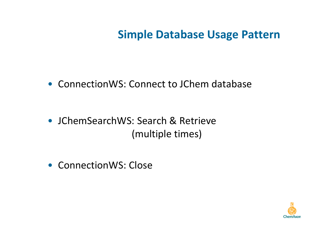#### **Simple Database Usage Pattern**

- ConnectionWS: Connect to JChem database
- JChemSearchWS: Search & Retrieve (multiple times)
- ConnectionWS: Close

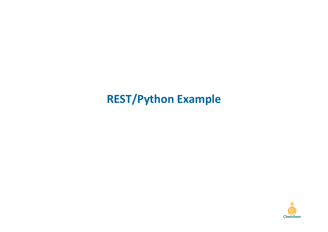# **REST/Python Example**

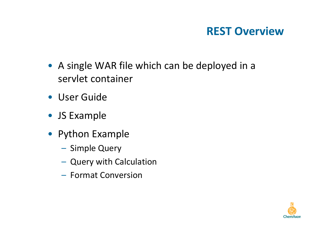## **REST Overview**

- A single WAR file which can be deployed in a servlet container
- User Guide
- JS Example
- Python Example
	- –– Simple Query
	- – $-$  Query with Calculation
	- – $-$  Format Conversion

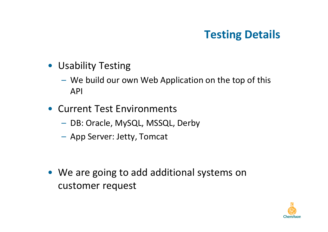## **Testing Details**

- Usability Testing
	- We build our own Web Application on the top of this API
- Current Test Environments
	- – $-$  DB: Oracle, MySQL, MSSQL, Derby
	- App Server: Jetty, Tomcat
- We are going to add additional systems on customer request

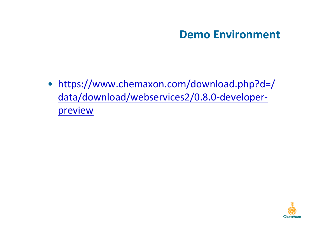#### **Demo Environment**

• https://www.chemaxon.com/download.php?d=/ data/download/webservices2/0.8.0-developerpreview

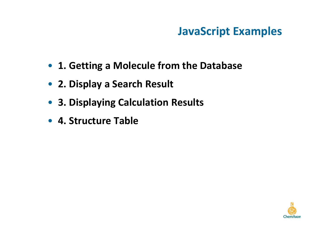# **JavaScript Examples**

- **1. Getting a Molecule from the Database**
- **2. Display a Search Result**
- **3. Displaying Calculation Results**
- **4. Structure Table**

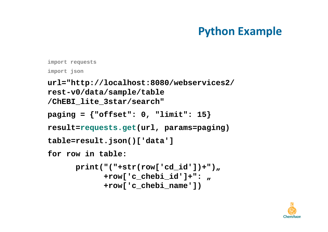```
import requestsimport jsonurl="http://localhost:8080/webservices2/rest-v0/data/sample/table
/ChEBI_lite_3star/search"paging = {"offset": 0, "limit": 15}result=requests.get(url, params=paging)table=result.json()['data']for row in table:print("("+str(row['cd_id'])+")<sub>u</sub>
            +row['c_chebi_id']+": "+row['c_chebi_name'])
```
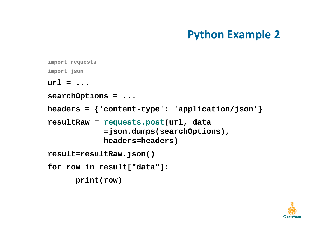```
import requestsimport jsonurl = ...searchOptions = ...headers = {'content-type': 'application/json'}resultRaw = requests.post(url, data
=json.dumps(searchOptions), headers=headers)result=resultRaw.json()for row in result["data"]:print(row)
```
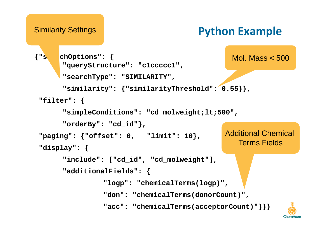#### Similarity Settings

```
{"searchOptions": {
"queryStructure": "c1ccccc1","searchType": "SIMILARITY","similarity": {"similarityThreshold": 0.55}}, "filter": {"simpleConditions": "cd_molweight;lt;500","orderBy": "cd_id"},"paging": {"offset": 0, "limit": 10},
"display": {"include": ["cd_id", "cd_molweight"],"additionalFields": {"logp": "chemicalTerms(logp)","don": "chemicalTerms(donorCount)","acc": "chemicalTerms(acceptorCount)"}}}Additional Chemical Terms FieldsMol. Mass < 500
```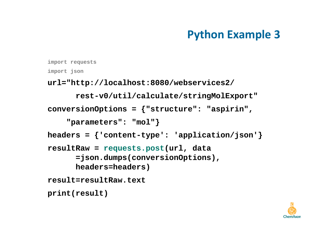```
import requestsimport jsonurl="http://localhost:8080/webservices2/rest-v0/util/calculate/stringMolExport"conversionOptions = {"structure": "aspirin","parameters": "mol"}headers = {'content-type': 'application/json'}resultRaw = requests.post(url, data
=json.dumps(conversionOptions), headers=headers)result=resultRaw.textprint(result)
```